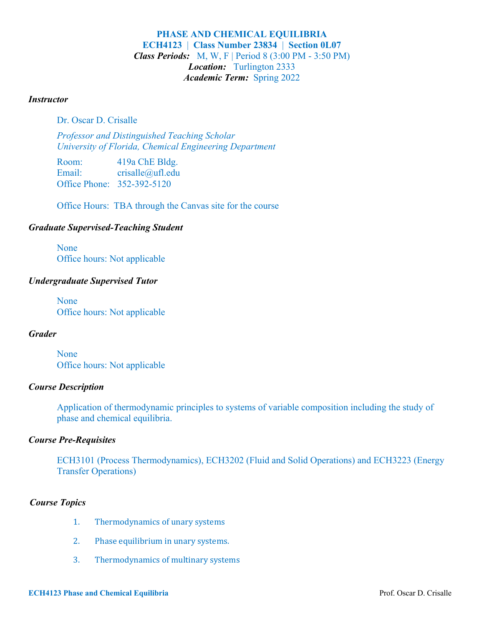## **PHASE AND CHEMICAL EQUILIBRIA ECH4123** | **Class Number 23834** | **Section 0L07** *Class Periods:* M, W, F | Period 8 (3:00 PM - 3:50 PM) *Location:* Turlington 2333 *Academic Term:* Spring 2022

#### *Instructor*

Dr. Oscar D. Crisalle

*Professor and Distinguished Teaching Scholar University of Florida, Chemical Engineering Department*

Room: 419a ChE Bldg. Email: crisalle@ufl.edu Office Phone: 352-392-5120

Office Hours: TBA through the Canvas site for the course

## *Graduate Supervised-Teaching Student*

None Office hours: Not applicable

## *Undergraduate Supervised Tutor*

None Office hours: Not applicable

## *Grader*

None Office hours: Not applicable

## *Course Description*

Application of thermodynamic principles to systems of variable composition including the study of phase and chemical equilibria.

## *Course Pre-Requisites*

ECH3101 (Process Thermodynamics), ECH3202 (Fluid and Solid Operations) and ECH3223 (Energy Transfer Operations)

## *Course Topics*

- 1. Thermodynamics of unary systems
- 2. Phase equilibrium in unary systems.
- 3. Thermodynamics of multinary systems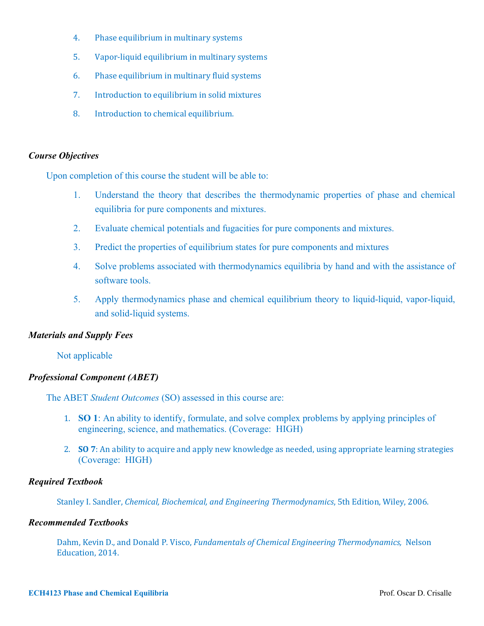- 4. Phase equilibrium in multinary systems
- 5. Vapor-liquid equilibrium in multinary systems
- 6. Phase equilibrium in multinary fluid systems
- 7. Introduction to equilibrium in solid mixtures
- 8. Introduction to chemical equilibrium.

### *Course Objectives*

Upon completion of this course the student will be able to:

- 1. Understand the theory that describes the thermodynamic properties of phase and chemical equilibria for pure components and mixtures.
- 2. Evaluate chemical potentials and fugacities for pure components and mixtures.
- 3. Predict the properties of equilibrium states for pure components and mixtures
- 4. Solve problems associated with thermodynamics equilibria by hand and with the assistance of software tools.
- 5. Apply thermodynamics phase and chemical equilibrium theory to liquid-liquid, vapor-liquid, and solid-liquid systems.

## *Materials and Supply Fees*

### Not applicable

## *Professional Component (ABET)*

The ABET *Student Outcomes* (SO) assessed in this course are:

- 1. **SO 1**: An ability to identify, formulate, and solve complex problems by applying principles of engineering, science, and mathematics. (Coverage: HIGH)
- 2. **SO** 7: An ability to acquire and apply new knowledge as needed, using appropriate learning strategies (Coverage: HIGH)

## *Required Textbook*

Stanley I. Sandler, *Chemical, Biochemical, and Engineering Thermodynamics*, 5th Edition, Wiley, 2006.

### *Recommended Textbooks*

Dahm, Kevin D., and Donald P. Visco, *Fundamentals of Chemical Engineering Thermodynamics*, Nelson Education, 2014.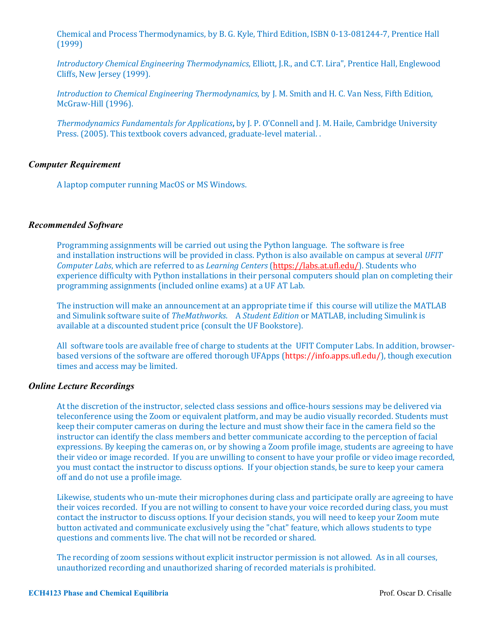Chemical and Process Thermodynamics, by B. G. Kyle, Third Edition, ISBN 0-13-081244-7, Prentice Hall (1999)

*Introductory Chemical Engineering Thermodynamics*, Elliott, J.R., and C.T. Lira", Prentice Hall, Englewood Cliffs, New Jersey (1999).

*Introduction to Chemical Engineering Thermodynamics*, by J. M. Smith and H. C. Van Ness, Fifth Edition, McGraw-Hill (1996).

*Thermodynamics Fundamentals for Applications, by J. P. O'Connell and J. M. Haile, Cambridge University* Press. (2005). This textbook covers advanced, graduate-level material. .

### *Computer Requirement*

A laptop computer running MacOS or MS Windows.

#### *Recommended Software*

Programming assignments will be carried out using the Python language. The software is free and installation instructions will be provided in class. Python is also available on campus at several *UFIT Computer Labs*, which are referred to as *Learning Centers* (https://labs.at.ufl.edu/). Students who experience difficulty with Python installations in their personal computers should plan on completing their programming assignments (included online exams) at a UF AT Lab.

The instruction will make an announcement at an appropriate time if this course will utilize the MATLAB and Simulink software suite of *TheMathworks*. A *Student Edition* or MATLAB, including Simulink is available at a discounted student price (consult the UF Bookstore).

All software tools are available free of charge to students at the UFIT Computer Labs. In addition, browserbased versions of the software are offered thorough UFApps (https://info.apps.ufl.edu/), though execution times and access may be limited.

#### *Online Lecture Recordings*

At the discretion of the instructor, selected class sessions and office-hours sessions may be delivered via teleconference using the Zoom or equivalent platform, and may be audio visually recorded. Students must keep their computer cameras on during the lecture and must show their face in the camera field so the instructor can identify the class members and better communicate according to the perception of facial expressions. By keeping the cameras on, or by showing a Zoom profile image, students are agreeing to have their video or image recorded. If you are unwilling to consent to have your profile or video image recorded, you must contact the instructor to discuss options. If your objection stands, be sure to keep your camera off and do not use a profile image.

Likewise, students who un-mute their microphones during class and participate orally are agreeing to have their voices recorded. If you are not willing to consent to have your voice recorded during class, you must contact the instructor to discuss options. If your decision stands, you will need to keep your Zoom mute button activated and communicate exclusively using the "chat" feature, which allows students to type questions and comments live. The chat will not be recorded or shared.

The recording of zoom sessions without explicit instructor permission is not allowed. As in all courses, unauthorized recording and unauthorized sharing of recorded materials is prohibited.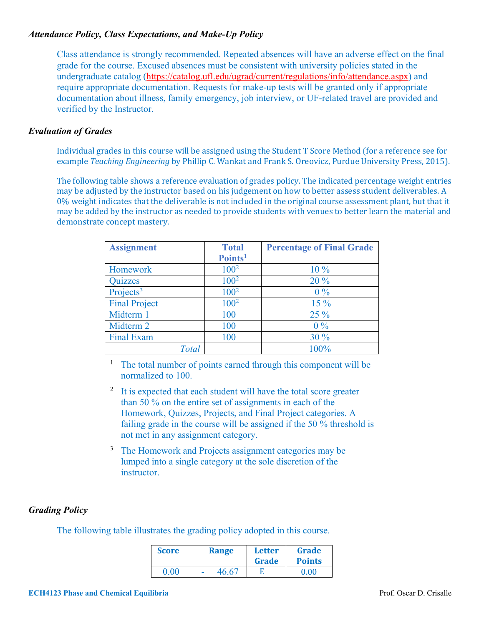## *Attendance Policy, Class Expectations, and Make-Up Policy*

Class attendance is strongly recommended. Repeated absences will have an adverse effect on the final grade for the course. Excused absences must be consistent with university policies stated in the undergraduate catalog (https://catalog.ufl.edu/ugrad/current/regulations/info/attendance.aspx) and require appropriate documentation. Requests for make-up tests will be granted only if appropriate documentation about illness, family emergency, job interview, or UF-related travel are provided and verified by the Instructor.

## *Evaluation of Grades*

Individual grades in this course will be assigned using the Student T Score Method (for a reference see for example *Teaching Engineering* by Phillip C. Wankat and Frank S. Oreovicz, Purdue University Press, 2015).

The following table shows a reference evaluation of grades policy. The indicated percentage weight entries may be adjusted by the instructor based on his judgement on how to better assess student deliverables. A 0% weight indicates that the deliverable is not included in the original course assessment plant, but that it may be added by the instructor as needed to provide students with venues to better learn the material and demonstrate concept mastery.

| <b>Assignment</b>     | <b>Total</b>        | <b>Percentage of Final Grade</b> |
|-----------------------|---------------------|----------------------------------|
|                       | Points <sup>1</sup> |                                  |
| Homework              | $100^2$             | $10\%$                           |
| <b>Quizzes</b>        | $100^2$             | 20 %                             |
| Projects <sup>3</sup> | 100 <sup>2</sup>    | $0\%$                            |
| <b>Final Project</b>  | $100^2$             | $15\%$                           |
| Midterm 1             | 100                 | $25\%$                           |
| Midterm 2             | 100                 | $0\%$                            |
| <b>Final Exam</b>     | 100                 | 30%                              |
| <b>Total</b>          |                     | 100%                             |

<sup>1</sup> The total number of points earned through this component will be normalized to 100.

- $2\,$  It is expected that each student will have the total score greater than 50 % on the entire set of assignments in each of the Homework, Quizzes, Projects, and Final Project categories. A failing grade in the course will be assigned if the 50 % threshold is not met in any assignment category.
- <sup>3</sup> The Homework and Projects assignment categories may be lumped into a single category at the sole discretion of the instructor.

## *Grading Policy*

The following table illustrates the grading policy adopted in this course.

| <b>Score</b> | <b>Range</b> | Letter<br>Grade | Grade<br><b>Points</b> |
|--------------|--------------|-----------------|------------------------|
| 0.00         | 46.67        |                 | 0.00                   |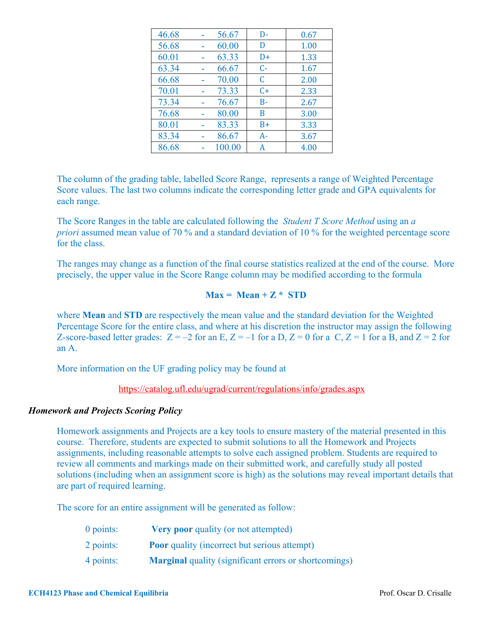| 46.68 | 56.67  | D-    | 0.67 |
|-------|--------|-------|------|
| 56.68 | 60.00  | D     | 1.00 |
| 60.01 | 63.33  | $D+$  | 1.33 |
| 63.34 | 66.67  | $C-$  | 1.67 |
| 66.68 | 70.00  | C     | 2.00 |
| 70.01 | 73.33  | $C+$  | 2.33 |
| 73.34 | 76.67  | $B -$ | 2.67 |
| 76.68 | 80.00  | B     | 3.00 |
| 80.01 | 83.33  | $B+$  | 3.33 |
| 83.34 | 86.67  | $A -$ | 3.67 |
| 86.68 | 100.00 | А     | 4.00 |

The column of the grading table, labelled Score Range, represents a range of Weighted Percentage Score values. The last two columns indicate the corresponding letter grade and GPA equivalents for each range.

The Score Ranges in the table are calculated following the *Student T Score Method* using an *a priori* assumed mean value of 70 % and a standard deviation of 10 % for the weighted percentage score for the class.

The ranges may change as a function of the final course statistics realized at the end of the course. More precisely, the upper value in the Score Range column may be modified according to the formula

## $Max = Mean + Z * STD$

where **Mean** and **STD** are respectively the mean value and the standard deviation for the Weighted Percentage Score for the entire class, and where at his discretion the instructor may assign the following Z-score-based letter grades:  $Z = -2$  for an E,  $Z = -1$  for a D,  $Z = 0$  for a C,  $Z = 1$  for a B, and  $Z = 2$  for an A.

More information on the UF grading policy may be found at

https://catalog.ufl.edu/ugrad/current/regulations/info/grades.aspx

### *Homework and Projects Scoring Policy*

Homework assignments and Projects are a key tools to ensure mastery of the material presented in this course. Therefore, students are expected to submit solutions to all the Homework and Projects assignments, including reasonable attempts to solve each assigned problem. Students are required to review all comments and markings made on their submitted work, and carefully study all posted solutions (including when an assignment score is high) as the solutions may reveal important details that are part of required learning.

The score for an entire assignment will be generated as follow:

| $0$ points: | <b>Very poor quality (or not attempted)</b>                  |
|-------------|--------------------------------------------------------------|
| 2 points:   | <b>Poor</b> quality (incorrect but serious attempt)          |
| 4 points:   | <b>Marginal</b> quality (significant errors or shortcomings) |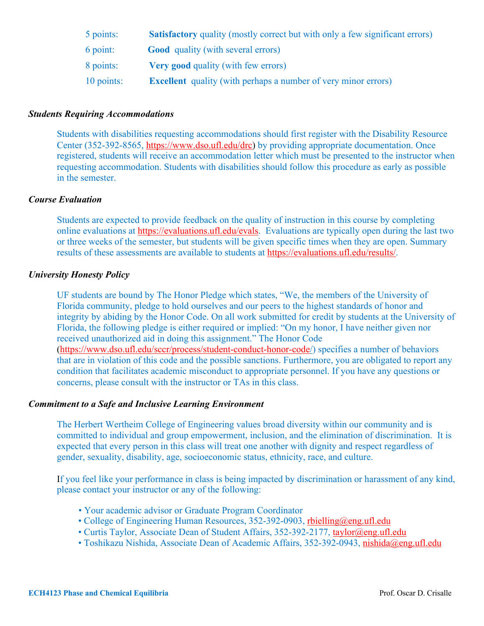| 5 points:  | <b>Satisfactory</b> quality (mostly correct but with only a few significant errors) |
|------------|-------------------------------------------------------------------------------------|
| 6 point:   | <b>Good</b> quality (with several errors)                                           |
| 8 points:  | <b>Very good</b> quality (with few errors)                                          |
| 10 points: | <b>Excellent</b> quality (with perhaps a number of very minor errors)               |

## *Students Requiring Accommodations*

Students with disabilities requesting accommodations should first register with the Disability Resource Center (352-392-8565, https://www.dso.ufl.edu/drc) by providing appropriate documentation. Once registered, students will receive an accommodation letter which must be presented to the instructor when requesting accommodation. Students with disabilities should follow this procedure as early as possible in the semester.

## *Course Evaluation*

Students are expected to provide feedback on the quality of instruction in this course by completing online evaluations at https://evaluations.ufl.edu/evals. Evaluations are typically open during the last two or three weeks of the semester, but students will be given specific times when they are open. Summary results of these assessments are available to students at https://evaluations.ufl.edu/results/.

## *University Honesty Policy*

UF students are bound by The Honor Pledge which states, "We, the members of the University of Florida community, pledge to hold ourselves and our peers to the highest standards of honor and integrity by abiding by the Honor Code. On all work submitted for credit by students at the University of Florida, the following pledge is either required or implied: "On my honor, I have neither given nor received unauthorized aid in doing this assignment." The Honor Code (https://www.dso.ufl.edu/sccr/process/student-conduct-honor-code/) specifies a number of behaviors that are in violation of this code and the possible sanctions. Furthermore, you are obligated to report any condition that facilitates academic misconduct to appropriate personnel. If you have any questions or concerns, please consult with the instructor or TAs in this class.

## *Commitment to a Safe and Inclusive Learning Environment*

The Herbert Wertheim College of Engineering values broad diversity within our community and is committed to individual and group empowerment, inclusion, and the elimination of discrimination. It is expected that every person in this class will treat one another with dignity and respect regardless of gender, sexuality, disability, age, socioeconomic status, ethnicity, race, and culture.

If you feel like your performance in class is being impacted by discrimination or harassment of any kind, please contact your instructor or any of the following:

- Your academic advisor or Graduate Program Coordinator
- College of Engineering Human Resources, 352-392-0903, rbielling@eng.ufl.edu
- Curtis Taylor, Associate Dean of Student Affairs, 352-392-2177, taylor@eng.ufl.edu
- Toshikazu Nishida, Associate Dean of Academic Affairs, 352-392-0943, nishida@eng.ufl.edu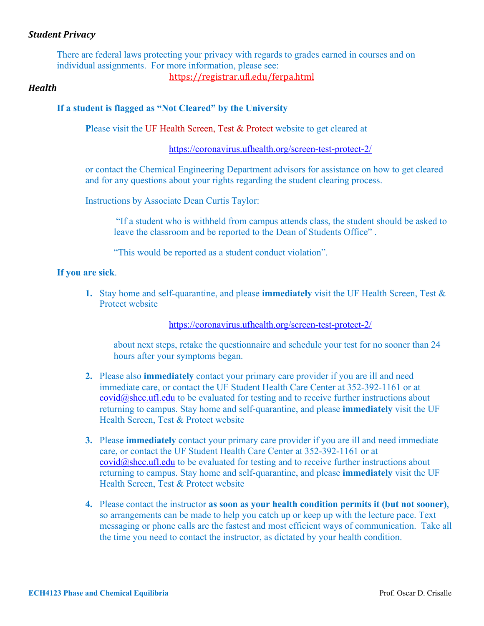## *Student Privacy*

There are federal laws protecting your privacy with regards to grades earned in courses and on individual assignments. For more information, please see:

## https://registrar.ufl.edu/ferpa.html

### *Health*

## **If a student is flagged as "Not Cleared" by the University**

**P**lease visit the UF Health Screen, Test & Protect website to get cleared at

https://coronavirus.ufhealth.org/screen-test-protect-2/

or contact the Chemical Engineering Department advisors for assistance on how to get cleared and for any questions about your rights regarding the student clearing process.

Instructions by Associate Dean Curtis Taylor:

"If a student who is withheld from campus attends class, the student should be asked to leave the classroom and be reported to the Dean of Students Office" .

"This would be reported as a student conduct violation".

#### **If you are sick**.

**1.** Stay home and self-quarantine, and please **immediately** visit the UF Health Screen, Test & Protect website

https://coronavirus.ufhealth.org/screen-test-protect-2/

about next steps, retake the questionnaire and schedule your test for no sooner than 24 hours after your symptoms began.

- **2.** Please also **immediately** contact your primary care provider if you are ill and need immediate care, or contact the UF Student Health Care Center at 352-392-1161 or at covid@shcc.ufl.edu to be evaluated for testing and to receive further instructions about returning to campus. Stay home and self-quarantine, and please **immediately** visit the UF Health Screen, Test & Protect website
- **3.** Please **immediately** contact your primary care provider if you are ill and need immediate care, or contact the UF Student Health Care Center at 352-392-1161 or at  $\text{covid@shcc.ufl.edu}$  to be evaluated for testing and to receive further instructions about returning to campus. Stay home and self-quarantine, and please **immediately** visit the UF Health Screen, Test & Protect website
- **4.** Please contact the instructor **as soon as your health condition permits it (but not sooner)**, so arrangements can be made to help you catch up or keep up with the lecture pace. Text messaging or phone calls are the fastest and most efficient ways of communication. Take all the time you need to contact the instructor, as dictated by your health condition.